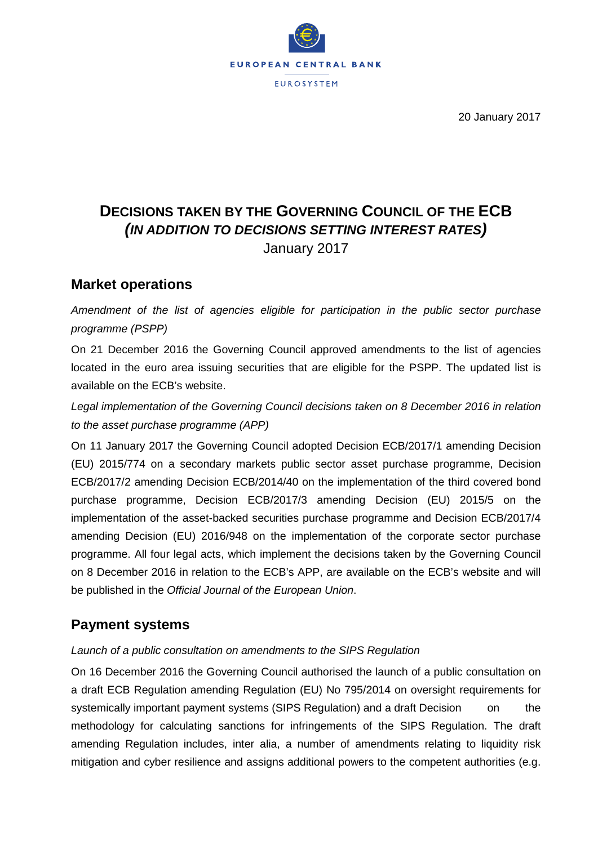

20 January 2017

# **DECISIONS TAKEN BY THE GOVERNING COUNCIL OF THE ECB** *(IN ADDITION TO DECISIONS SETTING INTEREST RATES)* January 2017

#### **Market operations**

*Amendment of the list of agencies eligible for participation in the public sector purchase programme (PSPP)*

On 21 December 2016 the Governing Council approved amendments to the list of agencies located in the euro area issuing securities that are eligible for the PSPP. The updated list is available on the ECB's website.

*Legal implementation of the Governing Council decisions taken on 8 December 2016 in relation to the asset purchase programme (APP)*

On 11 January 2017 the Governing Council adopted Decision ECB/2017/1 amending Decision (EU) 2015/774 on a secondary markets public sector asset purchase programme, Decision ECB/2017/2 amending Decision ECB/2014/40 on the implementation of the third covered bond purchase programme, Decision ECB/2017/3 amending Decision (EU) 2015/5 on the implementation of the asset-backed securities purchase programme and Decision ECB/2017/4 amending Decision (EU) 2016/948 on the implementation of the corporate sector purchase programme. All four legal acts, which implement the decisions taken by the Governing Council on 8 December 2016 in relation to the ECB's APP, are available on the ECB's website and will be published in the *Official Journal of the European Union*.

## **Payment systems**

#### *Launch of a public consultation on amendments to the SIPS Regulation*

On 16 December 2016 the Governing Council authorised the launch of a public consultation on a draft ECB Regulation amending Regulation (EU) No 795/2014 on oversight requirements for systemically important payment systems (SIPS Regulation) and a draft Decision on the methodology for calculating sanctions for infringements of the SIPS Regulation. The draft amending Regulation includes, inter alia, a number of amendments relating to liquidity risk mitigation and cyber resilience and assigns additional powers to the competent authorities (e.g.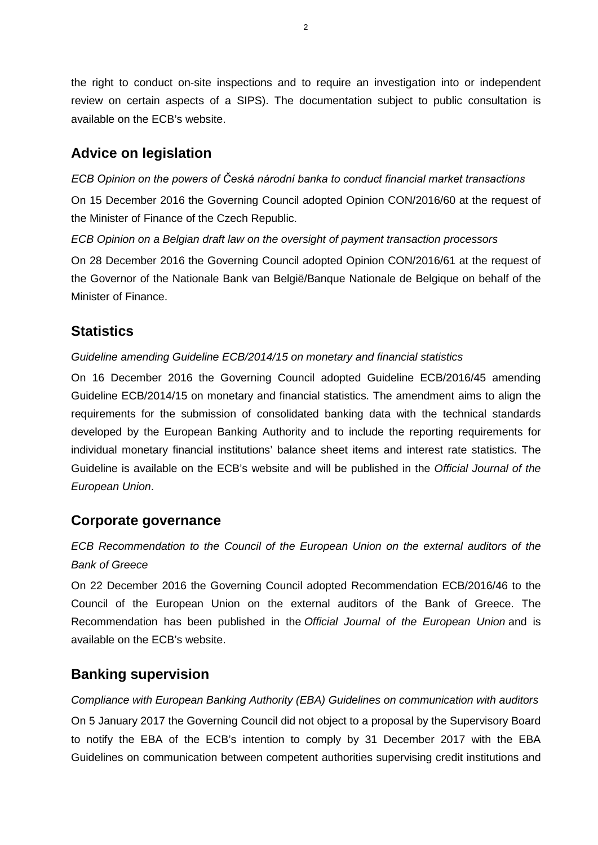the right to conduct on-site inspections and to require an investigation into or independent review on certain aspects of a SIPS). The documentation subject to public consultation is available on the ECB's website.

## **Advice on legislation**

*ECB Opinion on the powers of Česká národní banka to conduct financial market transactions*

On 15 December 2016 the Governing Council adopted Opinion CON/2016/60 at the request of the Minister of Finance of the Czech Republic.

*ECB Opinion on a Belgian draft law on the oversight of payment transaction processors*

On 28 December 2016 the Governing Council adopted Opinion CON/2016/61 at the request of the Governor of the Nationale Bank van België/Banque Nationale de Belgique on behalf of the Minister of Finance.

### **Statistics**

*Guideline amending Guideline ECB/2014/15 on monetary and financial statistics*

On 16 December 2016 the Governing Council adopted Guideline ECB/2016/45 amending Guideline ECB/2014/15 on monetary and financial statistics. The amendment aims to align the requirements for the submission of consolidated banking data with the technical standards developed by the European Banking Authority and to include the reporting requirements for individual monetary financial institutions' balance sheet items and interest rate statistics. The Guideline is available on the ECB's website and will be published in the *Official Journal of the European Union*.

#### **Corporate governance**

*ECB Recommendation to the Council of the European Union on the external auditors of the Bank of Greece*

On 22 December 2016 the Governing Council adopted Recommendation ECB/2016/46 to the Council of the European Union on the external auditors of the Bank of Greece. The Recommendation has been published in the *Official Journal of the European Union* and is available on the ECB's website.

### **Banking supervision**

*Compliance with European Banking Authority (EBA) Guidelines on communication with auditors* On 5 January 2017 the Governing Council did not object to a proposal by the Supervisory Board to notify the EBA of the ECB's intention to comply by 31 December 2017 with the EBA Guidelines on communication between competent authorities supervising credit institutions and